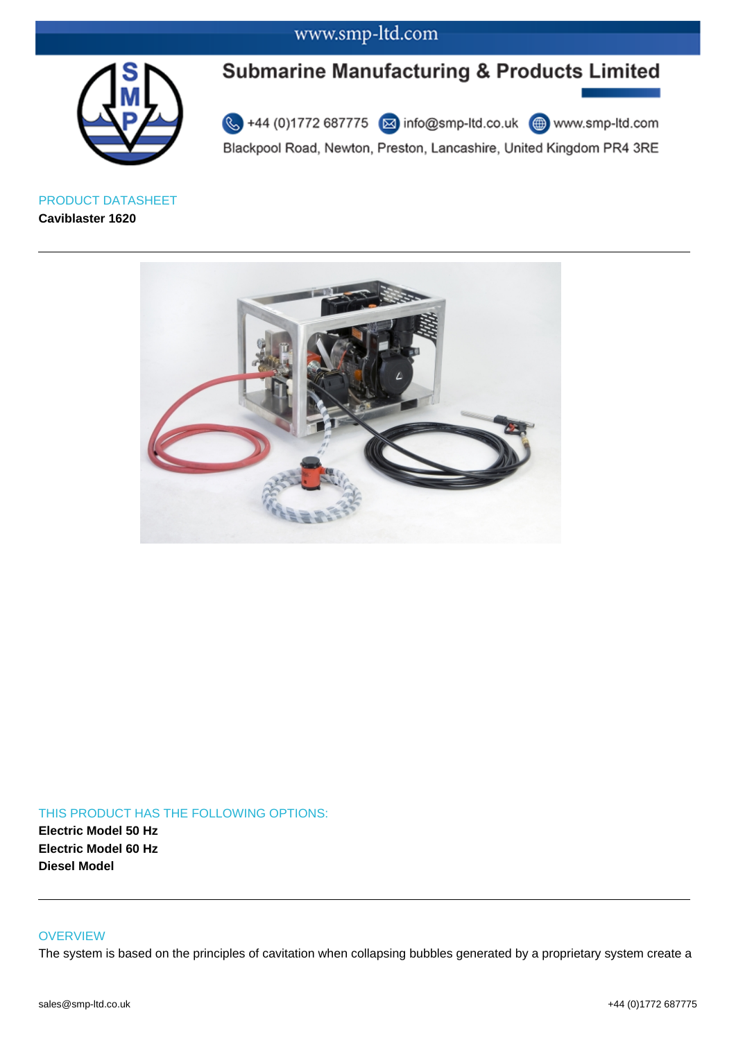# www.smp-ltd.com



# **Submarine Manufacturing & Products Limited**

Blackpool Road, Newton, Preston, Lancashire, United Kingdom PR4 3RE

PRODUCT DATASHEET **Caviblaster 1620**



### THIS PRODUCT HAS THE FOLLOWING OPTIONS: **Electric Model 50 Hz Electric Model 60 Hz Diesel Model**

#### **OVERVIEW**

The system is based on the principles of cavitation when collapsing bubbles generated by a proprietary system create a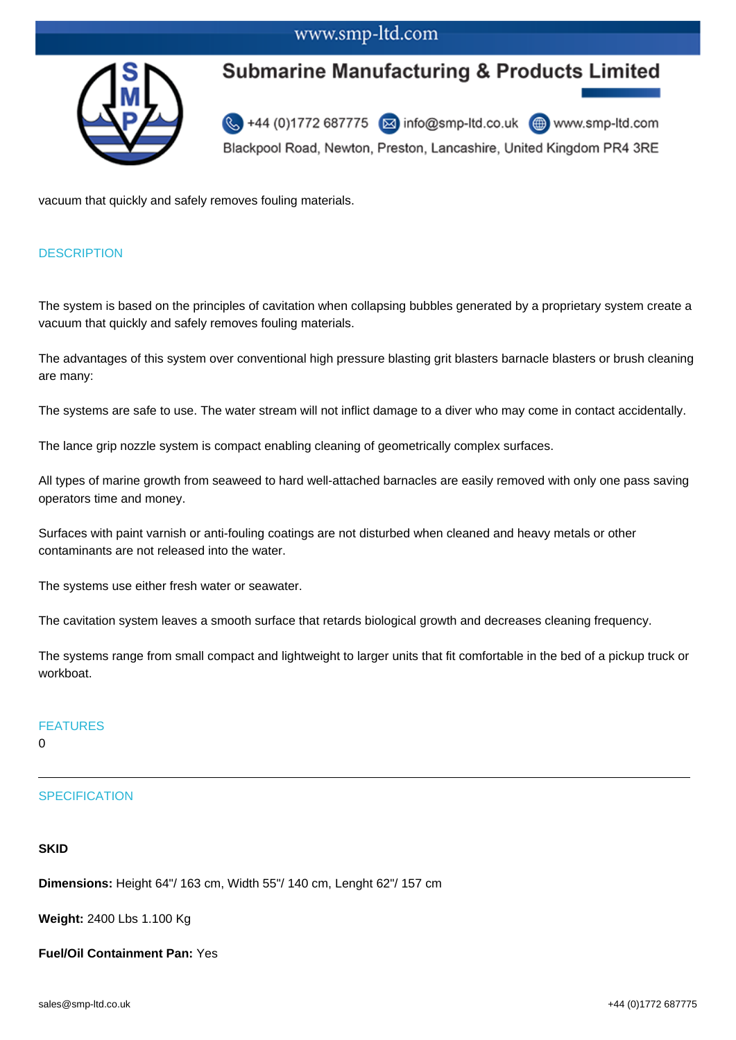## www.smp-ltd.com



# **Submarine Manufacturing & Products Limited**

+44 (0)1772 687775  $\boxed{\boxtimes}$  info@smp-ltd.co.uk  $\boxed{\textcircled{\tiny\textcircled{\tiny\textcirc}}}$  www.smp-ltd.com Blackpool Road, Newton, Preston, Lancashire, United Kingdom PR4 3RE

vacuum that quickly and safely removes fouling materials.

### **DESCRIPTION**

The system is based on the principles of cavitation when collapsing bubbles generated by a proprietary system create a vacuum that quickly and safely removes fouling materials.

The advantages of this system over conventional high pressure blasting grit blasters barnacle blasters or brush cleaning are many:

The systems are safe to use. The water stream will not inflict damage to a diver who may come in contact accidentally.

The lance grip nozzle system is compact enabling cleaning of geometrically complex surfaces.

All types of marine growth from seaweed to hard well-attached barnacles are easily removed with only one pass saving operators time and money.

Surfaces with paint varnish or anti-fouling coatings are not disturbed when cleaned and heavy metals or other contaminants are not released into the water.

The systems use either fresh water or seawater.

The cavitation system leaves a smooth surface that retards biological growth and decreases cleaning frequency.

The systems range from small compact and lightweight to larger units that fit comfortable in the bed of a pickup truck or workboat.

#### FEATURES

 $\Omega$ 

### **SPECIFICATION**

#### **SKID**

**Dimensions:** Height 64"/ 163 cm, Width 55"/ 140 cm, Lenght 62"/ 157 cm

**Weight:** 2400 Lbs 1.100 Kg

**Fuel/Oil Containment Pan:** Yes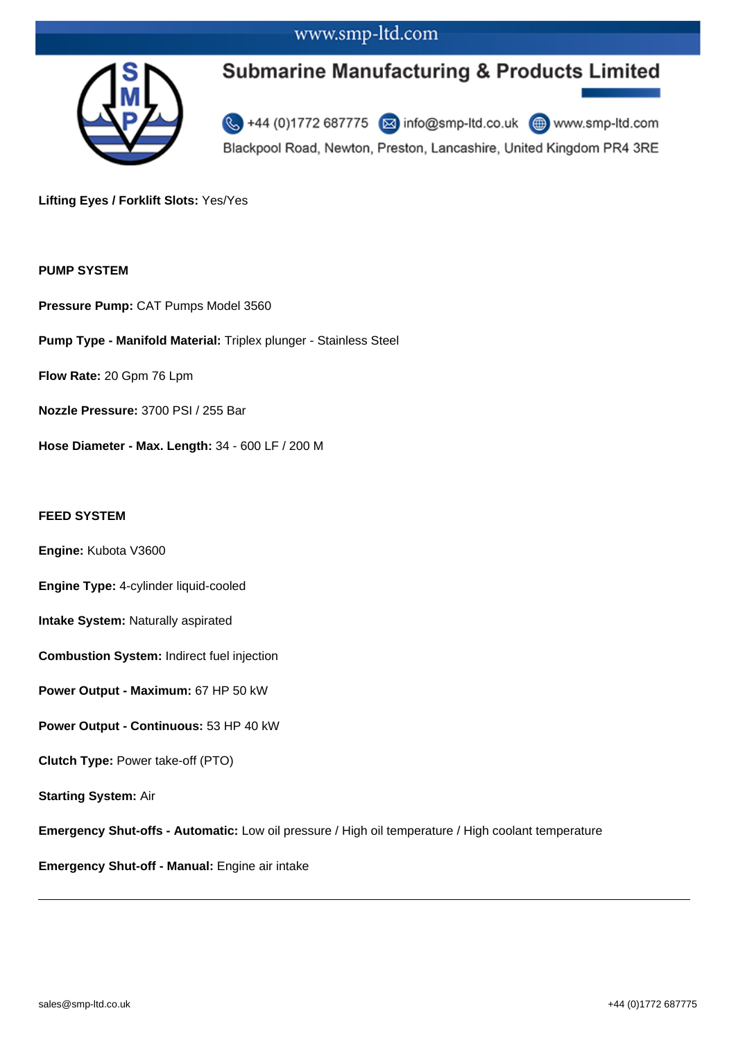## www.smp-ltd.com



# **Submarine Manufacturing & Products Limited**

+44 (0)1772 687775 2 info@smp-ltd.co.uk <sup>4</sup> www.smp-ltd.com Blackpool Road, Newton, Preston, Lancashire, United Kingdom PR4 3RE

**Lifting Eyes / Forklift Slots:** Yes/Yes

#### **PUMP SYSTEM**

**Pressure Pump:** CAT Pumps Model 3560

**Pump Type - Manifold Material:** Triplex plunger - Stainless Steel

**Flow Rate:** 20 Gpm 76 Lpm

**Nozzle Pressure:** 3700 PSI / 255 Bar

**Hose Diameter - Max. Length:** 34 - 600 LF / 200 M

#### **FEED SYSTEM**

**Engine:** Kubota V3600

**Engine Type:** 4-cylinder liquid-cooled

**Intake System:** Naturally aspirated

**Combustion System:** Indirect fuel injection

**Power Output - Maximum:** 67 HP 50 kW

**Power Output - Continuous:** 53 HP 40 kW

**Clutch Type:** Power take-off (PTO)

**Starting System:** Air

**Emergency Shut-offs - Automatic:** Low oil pressure / High oil temperature / High coolant temperature

**Emergency Shut-off - Manual:** Engine air intake